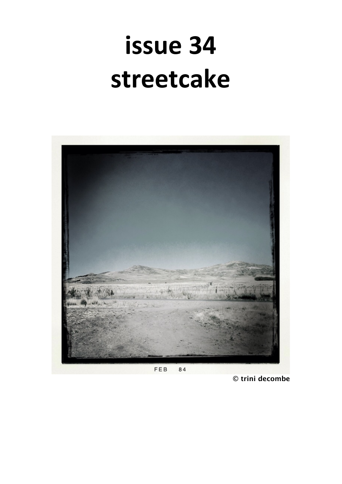# issue 34 streetcake



© trini decombe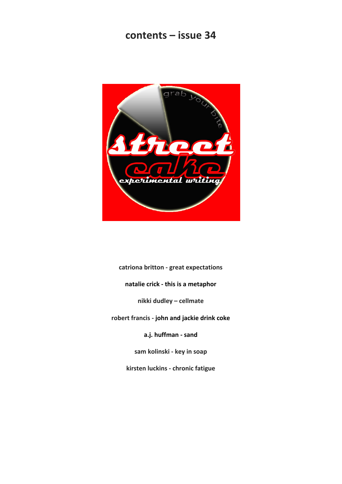# **contents – issue 34**



**catriona britton - great expectations natalie crick - this is a metaphor nikki dudley – cellmate robert francis - john and jackie drink coke a.j. huffman - sand sam kolinski - key in soap**

**kirsten luckins - chronic fatigue**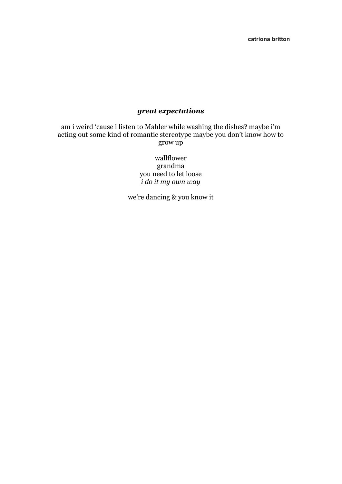**catriona britton**

# *great expectations*

am i weird 'cause i listen to Mahler while washing the dishes? maybe i'm acting out some kind of romantic stereotype maybe you don't know how to grow up

> wallflower grandma you need to let loose *i do it my own way*

we're dancing & you know it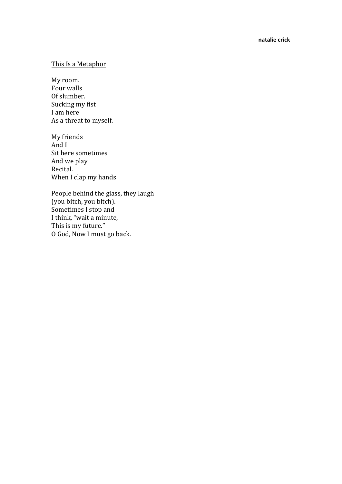### This Is a Metaphor

My room. Four walls Of slumber. Sucking my fist I am here As a threat to myself.

My friends And I Sit here sometimes And we play Recital. When I clap my hands

People behind the glass, they laugh (you bitch, you bitch). Sometimes I stop and I think, "wait a minute, This is my future." O God, Now I must go back.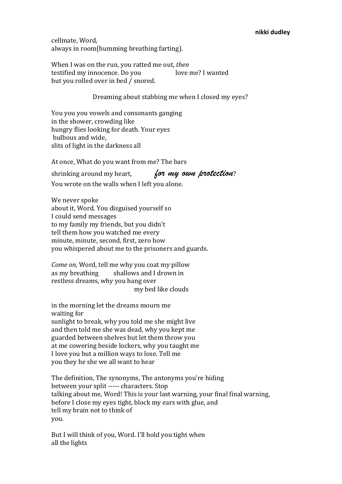#### **nikki dudley**

cellmate, Word, always in room(humming breathing farting).

When I was on the run, you ratted me out, *then* testified my innocence. Do you love me? I wanted but you rolled over in bed / snored.

Dreaming about stabbing me when I closed my eyes?

You you you yowels and consonants ganging in the shower, crowding like hungry flies looking for death. Your eyes bulbous and wide. slits of light in the darkness all

At once, What do you want from me? The bars

shrinking around my heart, *for my own protection*? You wrote on the walls when I left you alone.

We never spoke about it, Word. You disguised yourself so I could send messages to my family my friends, but you didn't tell them how you watched me every minute, minute, second, first, zero how you whispered about me to the prisoners and guards.

*Come on*, Word, tell me why you coat my pillow as my breathing shallows and I drown in restless dreams, why you hang over my bed like clouds 

in the morning let the dreams mourn me waiting for sunlight to break, why you told me she might live and then told me she was dead, why you kept me guarded between shelves but let them throw you at me cowering beside lockers, why you taught me I love you but a million ways to lose. Tell me you they he she we all want to hear

The definition, The synonyms, The antonyms you're hiding between your split ----- characters. Stop talking about me, Word! This is your last warning, your final final warning, before I close my eyes tight, block my ears with glue, and tell my brain not to think of you. 

But I will think of you, Word. I'll hold you tight when all the lights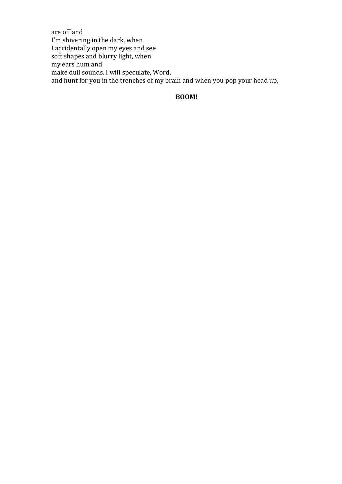are off and I'm shivering in the dark, when I accidentally open my eyes and see soft shapes and blurry light, when my ears hum and make dull sounds. I will speculate, Word, and hunt for you in the trenches of my brain and when you pop your head up,

## **BOOM!**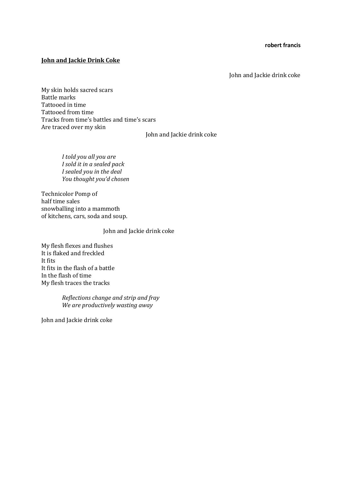#### **robert francis**

#### **John and Jackie Drink Coke**

John and Jackie drink coke

My skin holds sacred scars Battle marks Tattooed in time Tattooed from time Tracks from time's battles and time's scars Are traced over my skin

John and Jackie drink coke

*I told you all you are I sold it in a sealed pack I sealed you in the deal You thought you'd chosen*

Technicolor Pomp of half time sales snowballing into a mammoth of kitchens, cars, soda and soup.

John and Jackie drink coke

My flesh flexes and flushes It is flaked and freckled It fits It fits in the flash of a battle In the flash of time My flesh traces the tracks

> *Reflections change and strip and fray We are productively wasting away*

John and Jackie drink coke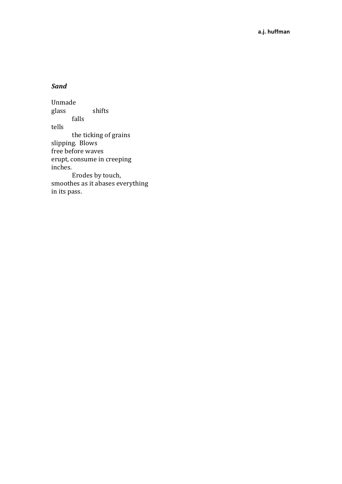# *Sand*

Unmade glass shifts falls tells the ticking of grains slipping. Blows free before waves erupt, consume in creeping inches. Erodes by touch, smoothes as it abases everything in its pass.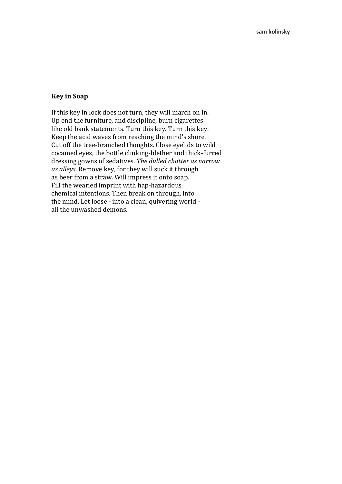#### **Key in Soap**

If this key in lock does not turn, they will march on in. Up end the furniture, and discipline, burn cigarettes like old bank statements. Turn this key. Turn this key. Keep the acid waves from reaching the mind's shore. Cut off the tree-branched thoughts. Close eyelids to wild cocained eyes, the bottle clinking-blether and thick-furred dressing gowns of sedatives. The dulled chatter as narrow as alleys. Remove key, for they will suck it through as beer from a straw. Will impress it onto soap. Fill the wearied imprint with hap-hazardous chemical intentions. Then break on through, into the mind. Let loose - into a clean, quivering world all the unwashed demons.